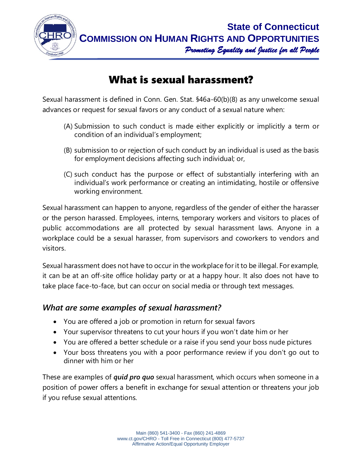

## What is sexual harassment?

Sexual harassment is defined in Conn. Gen. Stat. §46a-60(b)(8) as any unwelcome sexual advances or request for sexual favors or any conduct of a sexual nature when:

- (A) Submission to such conduct is made either explicitly or implicitly a term or condition of an individual's employment;
- (B) submission to or rejection of such conduct by an individual is used as the basis for employment decisions affecting such individual; or,
- (C) such conduct has the purpose or effect of substantially interfering with an individual's work performance or creating an intimidating, hostile or offensive working environment.

Sexual harassment can happen to anyone, regardless of the gender of either the harasser or the person harassed. Employees, interns, temporary workers and visitors to places of public accommodations are all protected by sexual harassment laws. Anyone in a workplace could be a sexual harasser, from supervisors and coworkers to vendors and visitors.

Sexual harassment does not have to occur in the workplace for it to be illegal. For example, it can be at an off-site office holiday party or at a happy hour. It also does not have to take place face-to-face, but can occur on social media or through text messages.

## *What are some examples of sexual harassment?*

- You are offered a job or promotion in return for sexual favors
- Your supervisor threatens to cut your hours if you won't date him or her
- You are offered a better schedule or a raise if you send your boss nude pictures
- Your boss threatens you with a poor performance review if you don't go out to dinner with him or her

These are examples of *quid pro quo* sexual harassment, which occurs when someone in a position of power offers a benefit in exchange for sexual attention or threatens your job if you refuse sexual attentions.